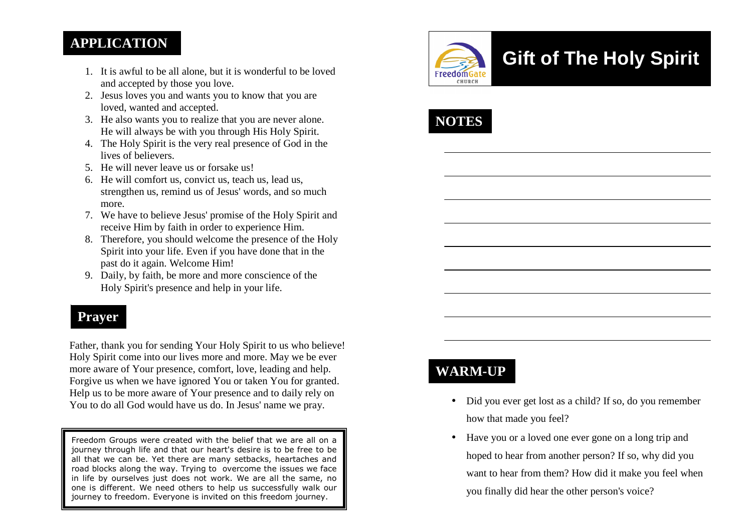#### **APPLICATION**

- 1. It is awful to be all alone, but it is wonderful to be loved and accepted by those you love.
- 2. Jesus loves you and wants you to know that you are loved, wanted and accepted.
- 3. He also wants you to realize that you are never alone. He will always be with you through His Holy Spirit.
- 4. The Holy Spirit is the very real presence of God in the lives of believers.
- 5. He will never leave us or forsake us!
- 6. He will comfort us, convict us, teach us, lead us, strengthen us, remind us of Jesus' words, and so much more.
- 7. We have to believe Jesus' promise of the Holy Spirit and receive Him by faith in order to experience Him.
- 8. Therefore, you should welcome the presence of the Holy Spirit into your life. Even if you have done that in the past do it again. Welcome Him!
- 9. Daily, by faith, be more and more conscience of theHoly Spirit's presence and help in your life.

# **Prayer**

Father, thank you for sending Your Holy Spirit to us who believe! Holy Spirit come into our lives more and more. May we be ever more aware of Your presence, comfort, love, leading and help. Forgive us when we have ignored You or taken You for granted. Help us to be more aware of Your presence and to daily rely on You to do all God would have us do. In Jesus' name we pray.

Freedom Groups were created with the belief that we are all on a journey through life and that our heart's desire is to be free to be all that we can be. Yet there are many setbacks, heartaches and road blocks along the way. Trying to overcome the issues we face in life by ourselves just does not work. We are all the same, no one is different. We need others to help us successfully walk our journey to freedom. Everyone is invited on this freedom journey.



# **Gift of The Holy Spirit**



# **WARM-UP**

- Did you ever get lost as a child? If so, do you remember how that made you feel?
- Have you or a loved one ever gone on a long trip and hoped to hear from another person? If so, why did you want to hear from them? How did it make you feel when you finally did hear the other person's voice?